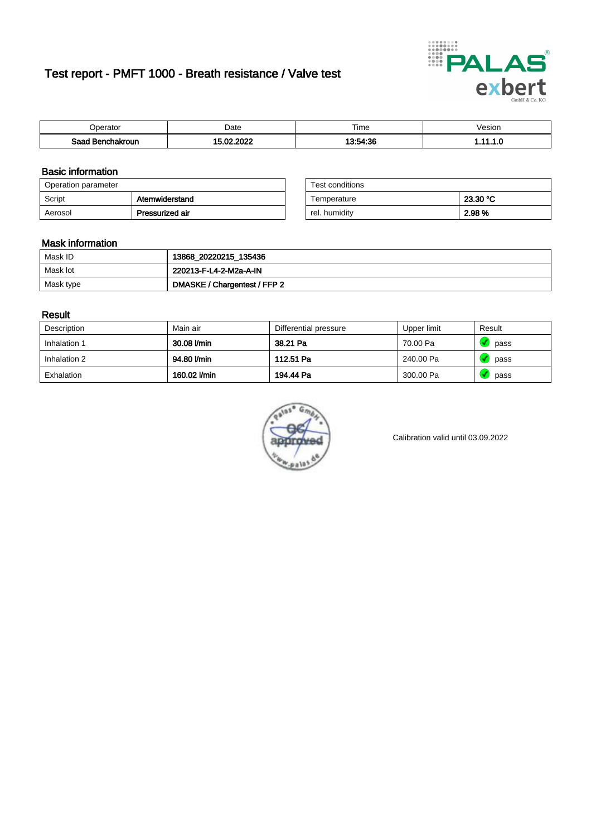# Test report - PMFT 1000 - Breath resistance / Valve test



| <b>'</b> perator              | Date           | $- \cdot$<br><b>Time</b> | /esion |
|-------------------------------|----------------|--------------------------|--------|
| Saad<br><b>nchakroun</b><br>. | 000<br>Λr<br>. | 13.51.36<br>.            | .      |

### Basic information

| Operation parameter |                 | Test conditions |          |
|---------------------|-----------------|-----------------|----------|
| Script              | Atemwiderstand  | Temperature     | 23.30 °C |
| Aerosol             | Pressurized air | rel. humidity   | 2.98 %   |

| Test conditions |          |
|-----------------|----------|
| Temperature     | 23.30 °C |
| rel. humidity   | 2.98%    |

### Mask information

| Mask ID   | 13868_20220215_135436        |
|-----------|------------------------------|
| Mask lot  | 220213-F-L4-2-M2a-A-IN       |
| Mask type | DMASKE / Chargentest / FFP 2 |

### Result

| Description  | Main air     | Differential pressure | Upper limit | Result |
|--------------|--------------|-----------------------|-------------|--------|
| Inhalation 1 | 30.08 l/min  | 38.21 Pa              | 70.00 Pa    | pass   |
| Inhalation 2 | 94.80 l/min  | 112.51 Pa             | 240.00 Pa   | pass   |
| Exhalation   | 160.02 l/min | 194.44 Pa             | 300.00 Pa   | pass   |



Calibration valid until 03.09.2022